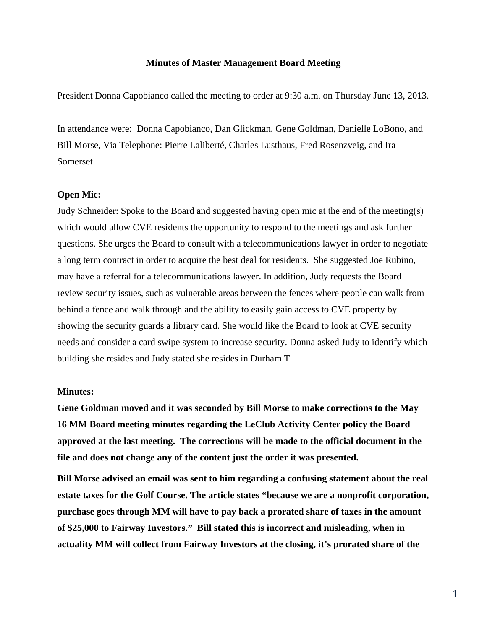## **Minutes of Master Management Board Meeting**

President Donna Capobianco called the meeting to order at 9:30 a.m. on Thursday June 13, 2013.

In attendance were: Donna Capobianco, Dan Glickman, Gene Goldman, Danielle LoBono, and Bill Morse, Via Telephone: Pierre Laliberté, Charles Lusthaus, Fred Rosenzveig, and Ira Somerset.

## **Open Mic:**

Judy Schneider: Spoke to the Board and suggested having open mic at the end of the meeting(s) which would allow CVE residents the opportunity to respond to the meetings and ask further questions. She urges the Board to consult with a telecommunications lawyer in order to negotiate a long term contract in order to acquire the best deal for residents. She suggested Joe Rubino, may have a referral for a telecommunications lawyer. In addition, Judy requests the Board review security issues, such as vulnerable areas between the fences where people can walk from behind a fence and walk through and the ability to easily gain access to CVE property by showing the security guards a library card. She would like the Board to look at CVE security needs and consider a card swipe system to increase security. Donna asked Judy to identify which building she resides and Judy stated she resides in Durham T.

#### **Minutes:**

**Gene Goldman moved and it was seconded by Bill Morse to make corrections to the May 16 MM Board meeting minutes regarding the LeClub Activity Center policy the Board approved at the last meeting. The corrections will be made to the official document in the file and does not change any of the content just the order it was presented.**

**Bill Morse advised an email was sent to him regarding a confusing statement about the real estate taxes for the Golf Course. The article states "because we are a nonprofit corporation, purchase goes through MM will have to pay back a prorated share of taxes in the amount of \$25,000 to Fairway Investors." Bill stated this is incorrect and misleading, when in actuality MM will collect from Fairway Investors at the closing, it's prorated share of the**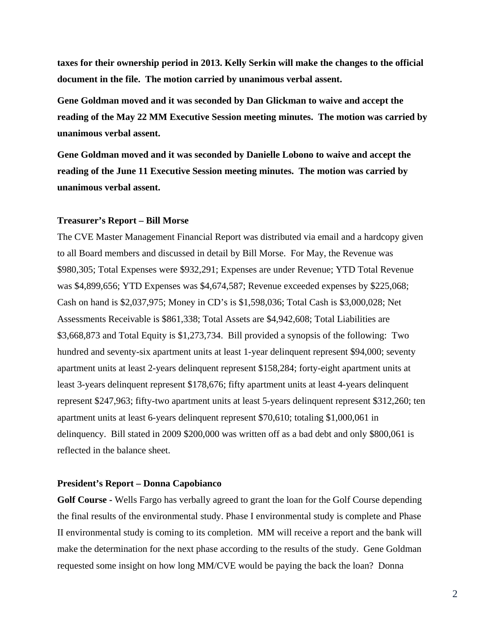**taxes for their ownership period in 2013. Kelly Serkin will make the changes to the official document in the file. The motion carried by unanimous verbal assent.**

**Gene Goldman moved and it was seconded by Dan Glickman to waive and accept the reading of the May 22 MM Executive Session meeting minutes. The motion was carried by unanimous verbal assent.** 

**Gene Goldman moved and it was seconded by Danielle Lobono to waive and accept the reading of the June 11 Executive Session meeting minutes. The motion was carried by unanimous verbal assent.** 

#### **Treasurer's Report – Bill Morse**

The CVE Master Management Financial Report was distributed via email and a hardcopy given to all Board members and discussed in detail by Bill Morse. For May, the Revenue was \$980,305; Total Expenses were \$932,291; Expenses are under Revenue; YTD Total Revenue was \$4,899,656; YTD Expenses was \$4,674,587; Revenue exceeded expenses by \$225,068; Cash on hand is \$2,037,975; Money in CD's is \$1,598,036; Total Cash is \$3,000,028; Net Assessments Receivable is \$861,338; Total Assets are \$4,942,608; Total Liabilities are \$3,668,873 and Total Equity is \$1,273,734. Bill provided a synopsis of the following: Two hundred and seventy-six apartment units at least 1-year delinquent represent \$94,000; seventy apartment units at least 2-years delinquent represent \$158,284; forty-eight apartment units at least 3-years delinquent represent \$178,676; fifty apartment units at least 4-years delinquent represent \$247,963; fifty-two apartment units at least 5-years delinquent represent \$312,260; ten apartment units at least 6-years delinquent represent \$70,610; totaling \$1,000,061 in delinquency. Bill stated in 2009 \$200,000 was written off as a bad debt and only \$800,061 is reflected in the balance sheet.

## **President's Report – Donna Capobianco**

**Golf Course -** Wells Fargo has verbally agreed to grant the loan for the Golf Course depending the final results of the environmental study. Phase I environmental study is complete and Phase II environmental study is coming to its completion. MM will receive a report and the bank will make the determination for the next phase according to the results of the study. Gene Goldman requested some insight on how long MM/CVE would be paying the back the loan? Donna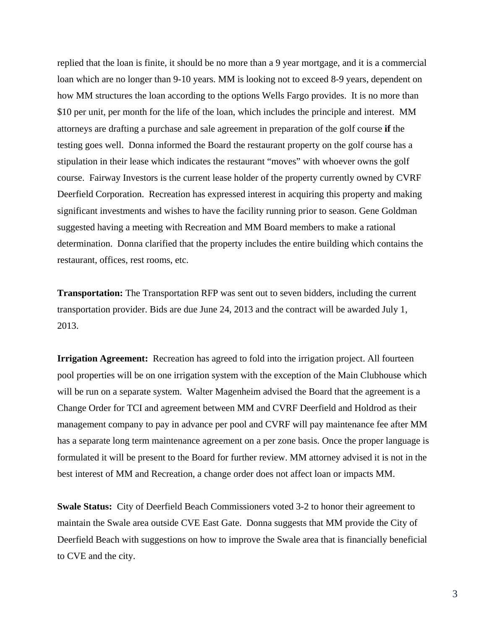replied that the loan is finite, it should be no more than a 9 year mortgage, and it is a commercial loan which are no longer than 9-10 years. MM is looking not to exceed 8-9 years, dependent on how MM structures the loan according to the options Wells Fargo provides. It is no more than \$10 per unit, per month for the life of the loan, which includes the principle and interest. MM attorneys are drafting a purchase and sale agreement in preparation of the golf course **if** the testing goes well. Donna informed the Board the restaurant property on the golf course has a stipulation in their lease which indicates the restaurant "moves" with whoever owns the golf course. Fairway Investors is the current lease holder of the property currently owned by CVRF Deerfield Corporation. Recreation has expressed interest in acquiring this property and making significant investments and wishes to have the facility running prior to season. Gene Goldman suggested having a meeting with Recreation and MM Board members to make a rational determination. Donna clarified that the property includes the entire building which contains the restaurant, offices, rest rooms, etc.

**Transportation:** The Transportation RFP was sent out to seven bidders, including the current transportation provider. Bids are due June 24, 2013 and the contract will be awarded July 1, 2013.

**Irrigation Agreement:** Recreation has agreed to fold into the irrigation project. All fourteen pool properties will be on one irrigation system with the exception of the Main Clubhouse which will be run on a separate system. Walter Magenheim advised the Board that the agreement is a Change Order for TCI and agreement between MM and CVRF Deerfield and Holdrod as their management company to pay in advance per pool and CVRF will pay maintenance fee after MM has a separate long term maintenance agreement on a per zone basis. Once the proper language is formulated it will be present to the Board for further review. MM attorney advised it is not in the best interest of MM and Recreation, a change order does not affect loan or impacts MM.

**Swale Status:** City of Deerfield Beach Commissioners voted 3-2 to honor their agreement to maintain the Swale area outside CVE East Gate. Donna suggests that MM provide the City of Deerfield Beach with suggestions on how to improve the Swale area that is financially beneficial to CVE and the city.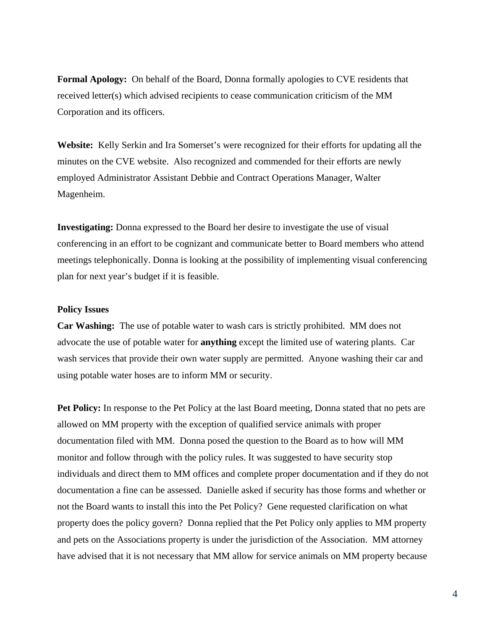**Formal Apology:** On behalf of the Board, Donna formally apologies to CVE residents that received letter(s) which advised recipients to cease communication criticism of the MM Corporation and its officers.

**Website:** Kelly Serkin and Ira Somerset's were recognized for their efforts for updating all the minutes on the CVE website. Also recognized and commended for their efforts are newly employed Administrator Assistant Debbie and Contract Operations Manager, Walter Magenheim.

**Investigating:** Donna expressed to the Board her desire to investigate the use of visual conferencing in an effort to be cognizant and communicate better to Board members who attend meetings telephonically. Donna is looking at the possibility of implementing visual conferencing plan for next year's budget if it is feasible.

## **Policy Issues**

**Car Washing:** The use of potable water to wash cars is strictly prohibited. MM does not advocate the use of potable water for **anything** except the limited use of watering plants. Car wash services that provide their own water supply are permitted. Anyone washing their car and using potable water hoses are to inform MM or security.

**Pet Policy:** In response to the Pet Policy at the last Board meeting, Donna stated that no pets are allowed on MM property with the exception of qualified service animals with proper documentation filed with MM. Donna posed the question to the Board as to how will MM monitor and follow through with the policy rules. It was suggested to have security stop individuals and direct them to MM offices and complete proper documentation and if they do not documentation a fine can be assessed. Danielle asked if security has those forms and whether or not the Board wants to install this into the Pet Policy? Gene requested clarification on what property does the policy govern? Donna replied that the Pet Policy only applies to MM property and pets on the Associations property is under the jurisdiction of the Association. MM attorney have advised that it is not necessary that MM allow for service animals on MM property because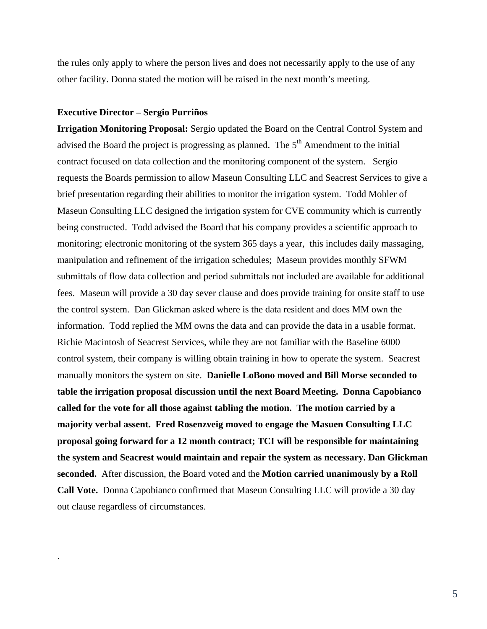the rules only apply to where the person lives and does not necessarily apply to the use of any other facility. Donna stated the motion will be raised in the next month's meeting.

#### **Executive Director – Sergio Purriños**

.

**Irrigation Monitoring Proposal:** Sergio updated the Board on the Central Control System and advised the Board the project is progressing as planned. The  $5<sup>th</sup>$  Amendment to the initial contract focused on data collection and the monitoring component of the system. Sergio requests the Boards permission to allow Maseun Consulting LLC and Seacrest Services to give a brief presentation regarding their abilities to monitor the irrigation system. Todd Mohler of Maseun Consulting LLC designed the irrigation system for CVE community which is currently being constructed. Todd advised the Board that his company provides a scientific approach to monitoring; electronic monitoring of the system 365 days a year, this includes daily massaging, manipulation and refinement of the irrigation schedules; Maseun provides monthly SFWM submittals of flow data collection and period submittals not included are available for additional fees. Maseun will provide a 30 day sever clause and does provide training for onsite staff to use the control system. Dan Glickman asked where is the data resident and does MM own the information. Todd replied the MM owns the data and can provide the data in a usable format. Richie Macintosh of Seacrest Services, while they are not familiar with the Baseline 6000 control system, their company is willing obtain training in how to operate the system. Seacrest manually monitors the system on site. **Danielle LoBono moved and Bill Morse seconded to table the irrigation proposal discussion until the next Board Meeting. Donna Capobianco called for the vote for all those against tabling the motion. The motion carried by a majority verbal assent. Fred Rosenzveig moved to engage the Masuen Consulting LLC proposal going forward for a 12 month contract; TCI will be responsible for maintaining the system and Seacrest would maintain and repair the system as necessary. Dan Glickman seconded.** After discussion, the Board voted and the **Motion carried unanimously by a Roll Call Vote.** Donna Capobianco confirmed that Maseun Consulting LLC will provide a 30 day out clause regardless of circumstances.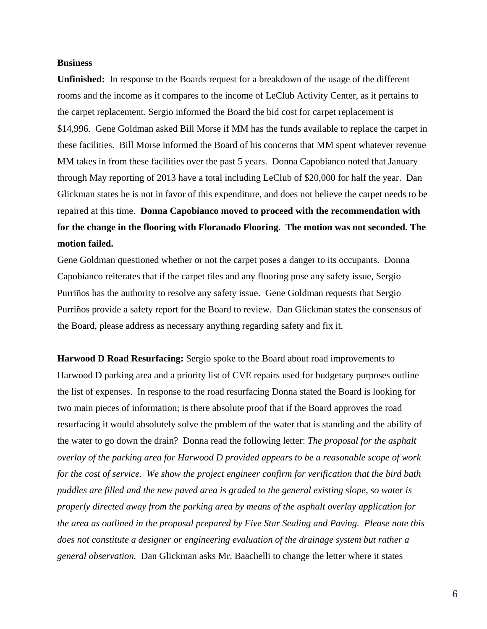### **Business**

**Unfinished:** In response to the Boards request for a breakdown of the usage of the different rooms and the income as it compares to the income of LeClub Activity Center, as it pertains to the carpet replacement. Sergio informed the Board the bid cost for carpet replacement is \$14,996. Gene Goldman asked Bill Morse if MM has the funds available to replace the carpet in these facilities. Bill Morse informed the Board of his concerns that MM spent whatever revenue MM takes in from these facilities over the past 5 years. Donna Capobianco noted that January through May reporting of 2013 have a total including LeClub of \$20,000 for half the year. Dan Glickman states he is not in favor of this expenditure, and does not believe the carpet needs to be repaired at this time. **Donna Capobianco moved to proceed with the recommendation with for the change in the flooring with Floranado Flooring. The motion was not seconded. The motion failed.** 

Gene Goldman questioned whether or not the carpet poses a danger to its occupants. Donna Capobianco reiterates that if the carpet tiles and any flooring pose any safety issue, Sergio Purriños has the authority to resolve any safety issue. Gene Goldman requests that Sergio Purriños provide a safety report for the Board to review. Dan Glickman states the consensus of the Board, please address as necessary anything regarding safety and fix it.

**Harwood D Road Resurfacing:** Sergio spoke to the Board about road improvements to Harwood D parking area and a priority list of CVE repairs used for budgetary purposes outline the list of expenses. In response to the road resurfacing Donna stated the Board is looking for two main pieces of information; is there absolute proof that if the Board approves the road resurfacing it would absolutely solve the problem of the water that is standing and the ability of the water to go down the drain? Donna read the following letter: *The proposal for the asphalt overlay of the parking area for Harwood D provided appears to be a reasonable scope of work for the cost of service. We show the project engineer confirm for verification that the bird bath puddles are filled and the new paved area is graded to the general existing slope, so water is properly directed away from the parking area by means of the asphalt overlay application for the area as outlined in the proposal prepared by Five Star Sealing and Paving. Please note this does not constitute a designer or engineering evaluation of the drainage system but rather a general observation.* Dan Glickman asks Mr. Baachelli to change the letter where it states